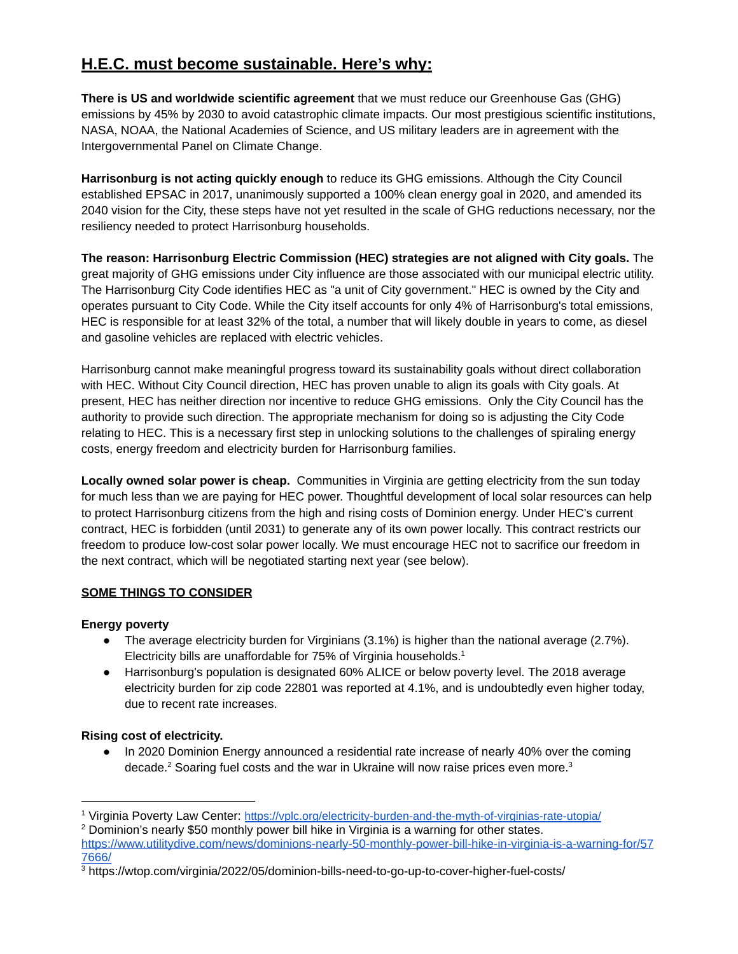# **H.E.C. must become sustainable. Here's why:**

**There is US and worldwide scientific agreement** that we must reduce our Greenhouse Gas (GHG) emissions by 45% by 2030 to avoid catastrophic climate impacts. Our most prestigious scientific institutions, NASA, NOAA, the National Academies of Science, and US military leaders are in agreement with the Intergovernmental Panel on Climate Change.

**Harrisonburg is not acting quickly enough** to reduce its GHG emissions. Although the City Council established EPSAC in 2017, unanimously supported a 100% clean energy goal in 2020, and amended its 2040 vision for the City, these steps have not yet resulted in the scale of GHG reductions necessary, nor the resiliency needed to protect Harrisonburg households.

**The reason: Harrisonburg Electric Commission (HEC) strategies are not aligned with City goals.** The great majority of GHG emissions under City influence are those associated with our municipal electric utility. The Harrisonburg City Code identifies HEC as "a unit of City government." HEC is owned by the City and operates pursuant to City Code. While the City itself accounts for only 4% of Harrisonburg's total emissions, HEC is responsible for at least 32% of the total, a number that will likely double in years to come, as diesel and gasoline vehicles are replaced with electric vehicles.

Harrisonburg cannot make meaningful progress toward its sustainability goals without direct collaboration with HEC. Without City Council direction, HEC has proven unable to align its goals with City goals. At present, HEC has neither direction nor incentive to reduce GHG emissions. Only the City Council has the authority to provide such direction. The appropriate mechanism for doing so is adjusting the City Code relating to HEC. This is a necessary first step in unlocking solutions to the challenges of spiraling energy costs, energy freedom and electricity burden for Harrisonburg families.

**Locally owned solar power is cheap.** Communities in Virginia are getting electricity from the sun today for much less than we are paying for HEC power. Thoughtful development of local solar resources can help to protect Harrisonburg citizens from the high and rising costs of Dominion energy. Under HEC's current contract, HEC is forbidden (until 2031) to generate any of its own power locally. This contract restricts our freedom to produce low-cost solar power locally. We must encourage HEC not to sacrifice our freedom in the next contract, which will be negotiated starting next year (see below).

# **SOME THINGS TO CONSIDER**

## **Energy poverty**

- The average electricity burden for Virginians (3.1%) is higher than the national average (2.7%). Electricity bills are unaffordable for 75% of Virginia households. $<sup>1</sup>$ </sup>
- Harrisonburg's population is designated 60% ALICE or below poverty level. The 2018 average electricity burden for zip code 22801 was reported at 4.1%, and is undoubtedly even higher today, due to recent rate increases.

# **Rising cost of electricity.**

• In 2020 Dominion Energy announced a residential rate increase of nearly 40% over the coming decade.<sup>2</sup> Soaring fuel costs and the war in Ukraine will now raise prices even more.<sup>3</sup>

<sup>1</sup> Virginia Poverty Law Center: <https://vplc.org/electricity-burden-and-the-myth-of-virginias-rate-utopia/>

 $2$  Dominion's nearly \$50 monthly power bill hike in Virginia is a warning for other states. [https://www.utilitydive.com/news/dominions-nearly-50-monthly-power-bill-hike-in-virginia-is-a-warning-for/57](https://www.utilitydive.com/news/dominions-nearly-50-monthly-power-bill-hike-in-virginia-is-a-warning-for/577666/) [7666/](https://www.utilitydive.com/news/dominions-nearly-50-monthly-power-bill-hike-in-virginia-is-a-warning-for/577666/)

<sup>&</sup>lt;sup>3</sup> https://wtop.com/virginia/2022/05/dominion-bills-need-to-go-up-to-cover-higher-fuel-costs/